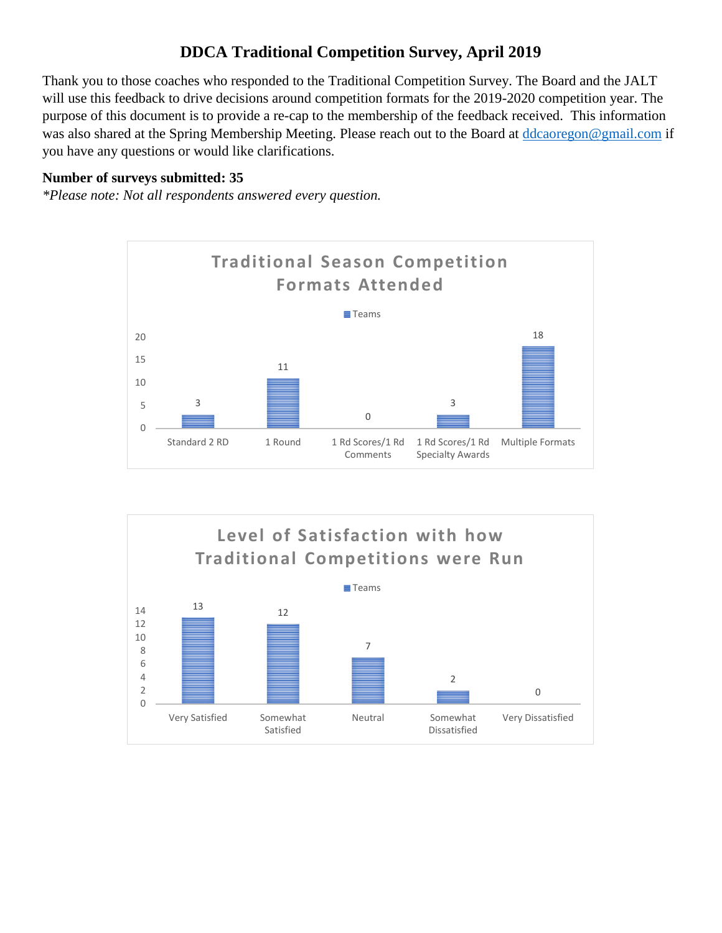## **DDCA Traditional Competition Survey, April 2019**

Thank you to those coaches who responded to the Traditional Competition Survey. The Board and the JALT will use this feedback to drive decisions around competition formats for the 2019-2020 competition year. The purpose of this document is to provide a re-cap to the membership of the feedback received. This information was also shared at the Spring Membership Meeting. Please reach out to the Board at [ddcaoregon@gmail.com](mailto:ddcaoregon@gmail.com) if you have any questions or would like clarifications.

## **Number of surveys submitted: 35**

*\*Please note: Not all respondents answered every question.* 



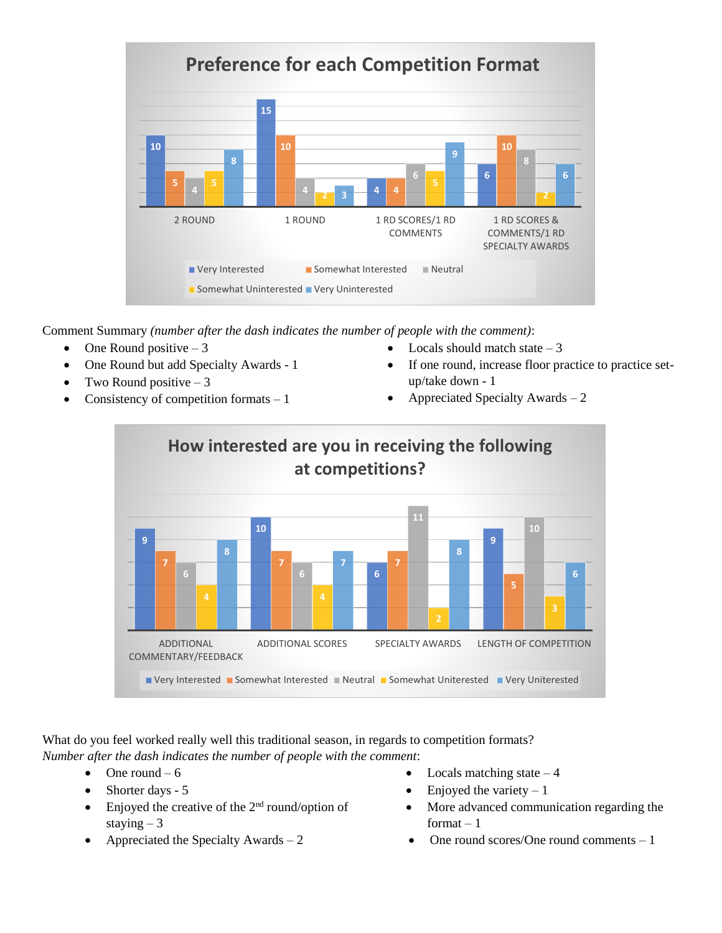

Comment Summary *(number after the dash indicates the number of people with the comment)*:

- One Round positive  $-3$
- One Round but add Specialty Awards 1
- Two Round positive  $-3$
- Consistency of competition formats  $-1$
- Locals should match state  $-3$
- If one round, increase floor practice to practice setup/take down - 1
- Appreciated Specialty Awards  $-2$



What do you feel worked really well this traditional season, in regards to competition formats? *Number after the dash indicates the number of people with the comment*:

- One round  $-6$
- Shorter days 5
- Enjoyed the creative of the  $2<sup>nd</sup>$  round/option of staying  $-3$
- 
- Locals matching state  $-4$
- Enjoyed the variety  $-1$
- More advanced communication regarding the format  $-1$
- Appreciated the Specialty Awards  $-2$  One round scores/One round comments  $-1$